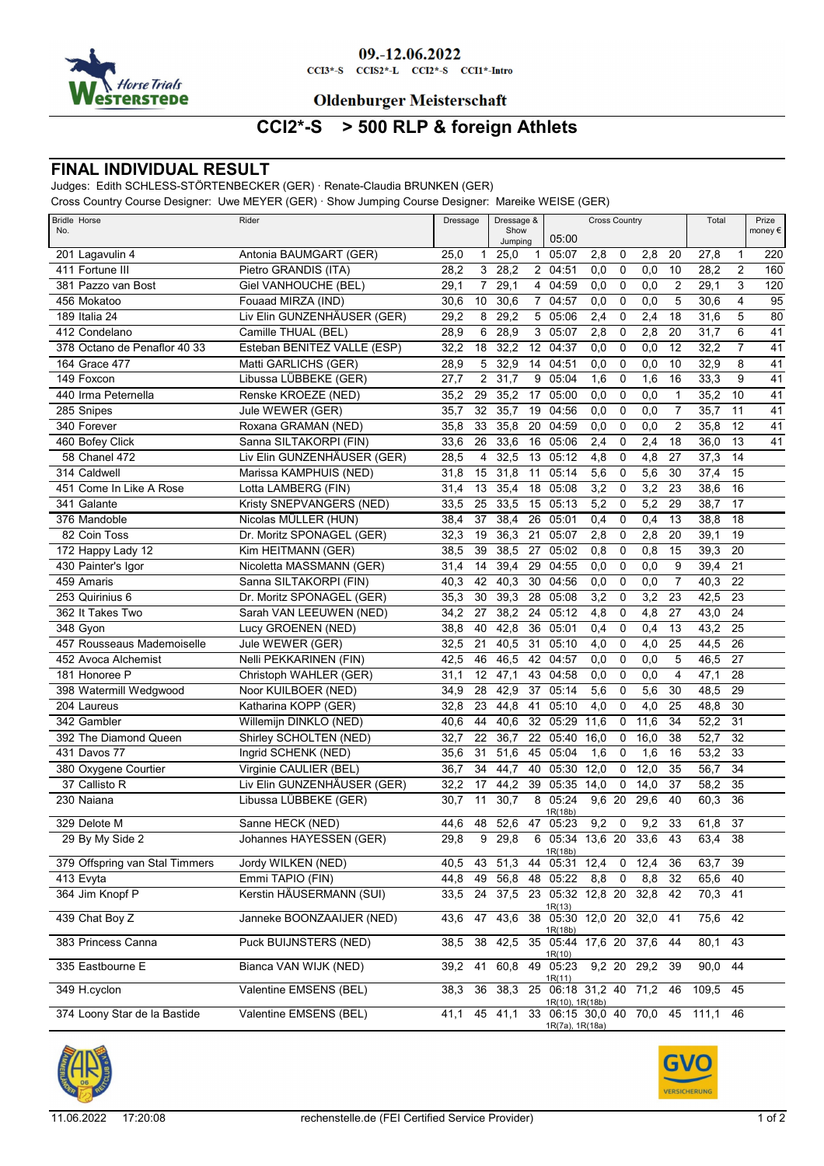

#### 09.-12.06.2022

 $CCI3*-S$   $CCI52*-L$   $CCI2*-S$   $CCI1*-Intro$ 

### **Oldenburger Meisterschaft**

# **CCI2\*-S > 500 RLP & foreign Athlets**

### **FINAL INDIVIDUAL RESULT**

Judges: Edith SCHLESS-STÖRTENBECKER (GER) · Renate-Claudia BRUNKEN (GER)

Cross Country Course Designer: Uwe MEYER (GER) · Show Jumping Course Designer: Mareike WEISE (GER)

| <b>Bridle Horse</b><br>No.     | Rider                       | Dressage                       |  |         | Dressage &<br>Show |                                                     |                  | <b>Cross Country</b> |             |                 | Total    |                 | Prize<br>money € |
|--------------------------------|-----------------------------|--------------------------------|--|---------|--------------------|-----------------------------------------------------|------------------|----------------------|-------------|-----------------|----------|-----------------|------------------|
|                                |                             |                                |  | Jumping |                    | 05:00                                               |                  |                      |             |                 |          |                 |                  |
| 201 Lagavulin 4                | Antonia BAUMGART (GER)      | 25,0<br>$\mathbf{1}$           |  | 25,0    | $\mathbf{1}$       | 05:07                                               | 2,8              | 0                    | 2,8         | 20              | 27,8     | 1               | 220              |
| 411 Fortune III                | Pietro GRANDIS (ITA)        | 28,2<br>3                      |  | 28,2    |                    | 2 04:51                                             | 0,0              | 0                    | 0,0         | 10              | 28,2     | 2               | 160              |
| 381 Pazzo van Bost             | Giel VANHOUCHE (BEL)        | 29,1<br>$\overline{7}$         |  | 29,1    | $\overline{4}$     | 04:59                                               | $\overline{0,0}$ | $\mathbf 0$          | 0,0         | $\overline{2}$  | 29,1     | 3               | 120              |
| 456 Mokatoo                    | Fouaad MIRZA (IND)          | 30,6<br>10                     |  | 30,6    | $\overline{7}$     | 04:57                                               | 0,0              | $\mathbf 0$          | 0,0         | 5               | 30,6     | $\overline{4}$  | $\overline{95}$  |
| 189 Italia 24                  | Liv Elin GUNZENHÄUSER (GER) | 29,2<br>8                      |  | 29,2    | 5                  | 05:06                                               | 2,4              | 0                    | 2,4         | 18              | 31,6     | 5               | 80               |
| 412 Condelano                  | Camille THUAL (BEL)         | 28,9<br>6                      |  | 28,9    | 3                  | 05:07                                               | 2,8              | $\mathbf 0$          | 2,8         | 20              | 31,7     | 6               | 41               |
| 378 Octano de Penaflor 40 33   | Esteban BENITEZ VALLE (ESP) | 32,2<br>18                     |  | 32,2    | 12                 | 04:37                                               | 0,0              | 0                    | 0,0         | 12              | 32,2     | $\overline{7}$  | $\overline{41}$  |
| 164 Grace 477                  | Matti GARLICHS (GER)        | 28,9<br>5                      |  | 32,9    | 14                 | 04:51                                               | 0,0              | 0                    | 0,0         | 10              | 32,9     | 8               | 41               |
| 149 Foxcon                     | Libussa LÜBBEKE (GER)       | $\overline{2}$<br>27,7         |  | 31,7    | 9                  | 05:04                                               | 1,6              | 0                    | 1,6         | 16              | 33,3     | 9               | 41               |
| 440 Irma Peternella            | Renske KROEZE (NED)         | 35,2<br>29                     |  | 35,2    | 17                 | 05:00                                               | 0,0              | 0                    | 0,0         | 1               | 35,2     | 10              | 41               |
| 285 Snipes                     | Jule WEWER (GER)            | 35,7<br>32                     |  | 35,7    | 19                 | 04:56                                               | 0,0              | $\mathbf 0$          | 0,0         | $\overline{7}$  | 35,7     | 11              | $\overline{41}$  |
| 340 Forever                    | Roxana GRAMAN (NED)         | 33<br>35,8                     |  | 35,8    | 20                 | 04:59                                               | 0,0              | 0                    | 0,0         | $\overline{2}$  | 35,8     | 12              | $\overline{41}$  |
| 460 Bofey Click                | Sanna SILTAKORPI (FIN)      | 33,6<br>26                     |  | 33,6    | 16                 | 05:06                                               | 2,4              | 0                    | 2,4         | 18              | 36,0     | 13              | 41               |
| 58 Chanel 472                  | Liv Elin GUNZENHÄUSER (GER) | 28,5<br>$\overline{4}$         |  | 32,5    | 13                 | 05:12                                               | 4,8              | $\mathbf 0$          | 4,8         | 27              | 37,3     | 14              |                  |
| 314 Caldwell                   | Marissa KAMPHUIS (NED)      | 31,8<br>15                     |  | 31,8    | 11                 | 05:14                                               | 5,6              | 0                    | 5,6         | 30              | 37,4     | 15              |                  |
| 451 Come In Like A Rose        | Lotta LAMBERG (FIN)         | 31,4<br>13                     |  | 35,4    | 18                 | 05:08                                               | 3,2              | 0                    | 3,2         | 23              | 38,6     | 16              |                  |
| 341 Galante                    | Kristy SNEPVANGERS (NED)    | 33,5<br>25                     |  | 33,5    | 15                 | 05:13                                               | 5,2              | 0                    | 5,2         | 29              | 38,7     | 17              |                  |
| 376 Mandoble                   | Nicolas MÜLLER (HUN)        | 38,4<br>37                     |  | 38,4    | 26                 | 05:01                                               | 0,4              | 0                    | 0,4         | 13              | 38,8     | $\overline{18}$ |                  |
| 82 Coin Toss                   | Dr. Moritz SPONAGEL (GER)   | 32,3<br>19                     |  | 36,3    | 21                 | 05:07                                               | 2,8              | 0                    | 2,8         | 20              | 39,1     | 19              |                  |
| 172 Happy Lady 12              | Kim HEITMANN (GER)          | 38,5<br>39                     |  | 38,5    | 27                 | 05:02                                               | 0,8              | 0                    | 0,8         | 15              | 39,3     | $\overline{20}$ |                  |
| 430 Painter's Igor             | Nicoletta MASSMANN (GER)    | 31,4<br>14                     |  | 39,4    | 29                 | 04:55                                               | 0,0              | 0                    | 0,0         | 9               | 39,4     | 21              |                  |
| 459 Amaris                     | Sanna SILTAKORPI (FIN)      | 42<br>40,3                     |  | 40,3    | 30                 | 04:56                                               | 0,0              | 0                    | 0,0         | $\overline{7}$  | 40,3     | $\overline{22}$ |                  |
| 253 Quirinius 6                | Dr. Moritz SPONAGEL (GER)   | 30<br>35,3                     |  | 39,3    | 28                 | 05:08                                               | 3,2              | 0                    | 3,2         | 23              | 42,5     | $\overline{23}$ |                  |
| 362 It Takes Two               | Sarah VAN LEEUWEN (NED)     | 27<br>34,2                     |  | 38,2    | 24                 | 05:12                                               | 4,8              | 0                    | 4,8         | 27              | 43,0     | 24              |                  |
| $348$ Gyon                     | Lucy GROENEN (NED)          | 38,8<br>40                     |  | 42,8    | 36                 | 05:01                                               | 0,4              | 0                    | 0,4         | 13              | 43,2     | 25              |                  |
| 457 Rousseaus Mademoiselle     | Jule WEWER (GER)            | 32,5<br>21                     |  | 40,5    | 31                 | 05:10                                               | 4,0              | 0                    | 4,0         | 25              | 44,5     | 26              |                  |
| 452 Avoca Alchemist            | Nelli PEKKARINEN (FIN)      | 42,5<br>46                     |  | 46,5    | 42                 | 04:57                                               | 0,0              | $\mathbf 0$          | 0,0         | 5               | 46,5     | $\overline{27}$ |                  |
| 181 Honoree P                  | Christoph WAHLER (GER)      | 31,1<br>$12 \overline{ }$      |  | 47,1    | 43                 | 04:58                                               | 0,0              | 0                    | 0,0         | 4               | 47,1     | 28              |                  |
| 398 Watermill Wedgwood         | Noor KUILBOER (NED)         | 34,9<br>28                     |  | 42,9    | 37                 | 05:14                                               | 5,6              | 0                    | 5,6         | 30              | 48,5     | $\overline{29}$ |                  |
| 204 Laureus                    | Katharina KOPP (GER)        | 23<br>32,8                     |  | 44,8    | 41                 | 05:10                                               | 4,0              | 0                    | 4,0         | 25              | 48,8     | 30              |                  |
| 342 Gambler                    | Willemijn DINKLO (NED)      | 40,6<br>44                     |  | 40,6    | 32                 | 05:29                                               | 11,6             | 0                    | 11,6        | 34              | 52,2     | 31              |                  |
| 392 The Diamond Queen          | Shirley SCHOLTEN (NED)      | 32,7<br>22                     |  | 36,7    | 22                 | 05:40                                               | 16,0             | 0                    | 16,0        | 38              | 52,7     | 32              |                  |
| 431 Davos 77                   | Ingrid SCHENK (NED)         | 35,6<br>31                     |  | 51,6    | 45                 | 05:04                                               | 1,6              | 0                    | 1,6         | 16              | 53,2     | 33              |                  |
| 380 Oxygene Courtier           | Virginie CAULIER (BEL)      | 36,7<br>34                     |  | 44,7    | 40                 | 05:30                                               | 12,0             | 0                    | 12,0        | 35              | 56,7     | $\overline{34}$ |                  |
| 37 Callisto R                  | Liv Elin GUNZENHÄUSER (GER) | 32,2<br>17                     |  | 44,2    | 39                 | 05:35                                               | 14,0             | 0                    | 14,0        | 37              | 58,2     | 35              |                  |
| 230 Naiana                     | Libussa LÜBBEKE (GER)       | 11<br>30,7                     |  | 30,7    | 8                  | 05:24                                               | 9,6 20           |                      | 29,6        | 40              | 60,3     | 36              |                  |
|                                |                             | 48                             |  |         |                    | 1R(18b)                                             | $9,2$ 0          |                      |             | 33              | 61,8     | 37              |                  |
| 329 Delote M                   | Sanne HECK (NED)            | 44,6<br>29,8<br>$\overline{9}$ |  | 29,8    |                    | 52,6 47 05:23<br>6 05:34 13,6 20                    |                  |                      | 9,2<br>33,6 | $\overline{43}$ | 63,4     | $\overline{38}$ |                  |
| 29 By My Side 2                | Johannes HAYESSEN (GER)     |                                |  |         |                    | 1R(18b)                                             |                  |                      |             |                 |          |                 |                  |
| 379 Offspring van Stal Timmers | Jordy WILKEN (NED)          | 40,5<br>43                     |  | 51,3    | 44                 | 05:31 12,4                                          |                  | 0                    | 12,4        | 36              | 63,7     | 39              |                  |
| 413 Evyta                      | Emmi TAPIO (FIN)            | 44,8<br>49                     |  |         |                    | 56,8 48 05:22                                       | 8,8              | $\mathbf 0$          | 8,8         | 32              | 65,6 40  |                 |                  |
| 364 Jim Knopf P                | Kerstin HÄUSERMANN (SUI)    | 33,5                           |  |         |                    | 24 37,5 23 05:32 12,8 20                            |                  |                      | 32,8        | 42              | 70,3 41  |                 |                  |
|                                |                             |                                |  |         |                    | 1R(13)                                              |                  |                      |             |                 |          |                 |                  |
| 439 Chat Boy Z                 | Janneke BOONZAAIJER (NED)   | 43,6                           |  |         |                    | 47 43,6 38 05:30 12,0 20<br>1R(18b)                 |                  |                      | 32,0        | 41              | 75,6 42  |                 |                  |
| 383 Princess Canna             | Puck BUIJNSTERS (NED)       | 38,5<br>38                     |  |         |                    | 42,5 35 05:44 17,6 20 37,6                          |                  |                      |             | 44              | 80,1 43  |                 |                  |
| 335 Eastbourne E               | Bianca VAN WIJK (NED)       | 39,2<br>41                     |  | 60,8    |                    | 1R(10)<br>49 05:23                                  | 9,2 20           |                      | 29,2        | 39              | 90,0     | 44              |                  |
| 349 H.cyclon                   | Valentine EMSENS (BEL)      | 36<br>38,3                     |  |         |                    | 1R(11)<br>38,3 25 06:18 31,2 40 71,2                |                  |                      |             | 46              | 109,5 45 |                 |                  |
|                                |                             |                                |  |         |                    | <u>1R(10), 1R(18b)</u>                              |                  |                      |             |                 |          |                 |                  |
| 374 Loony Star de la Bastide   | Valentine EMSENS (BEL)      | 41,1                           |  |         |                    | 45 41,1 33 06:15 30,0 40 70,0 45<br>1R(7a), 1R(18a) |                  |                      |             |                 | 111,1 46 |                 |                  |